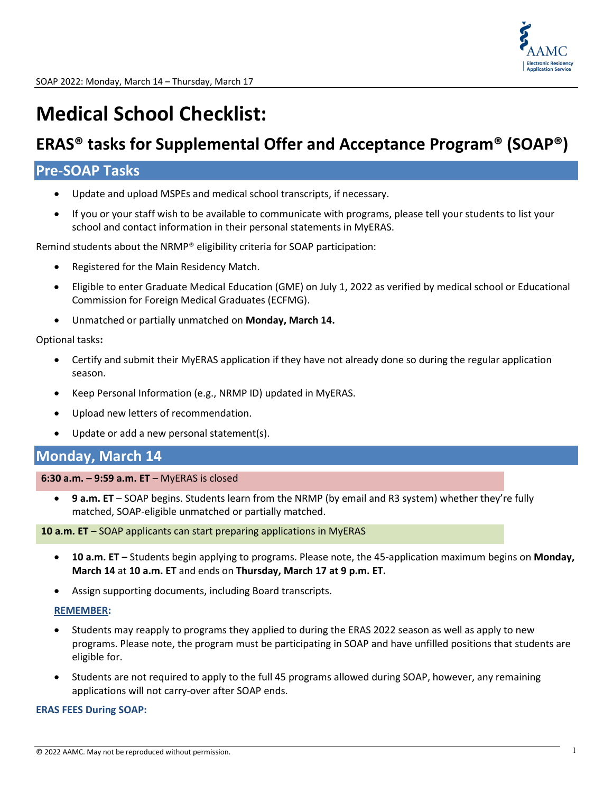

# **Medical School Checklist:**

## **ERAS® tasks for Supplemental Offer and Acceptance Program® (SOAP®)**

## **Pre-SOAP Tasks**

- Update and upload MSPEs and medical school transcripts, if necessary.
- If you or your staff wish to be available to communicate with programs, please tell your students to list your school and contact information in their personal statements in MyERAS.

Remind students about the NRMP® eligibility criteria for SOAP participation:

- Registered for the Main Residency Match.
- Eligible to enter Graduate Medical Education (GME) on July 1, 2022 as verified by medical school or Educational Commission for Foreign Medical Graduates (ECFMG).
- Unmatched or partially unmatched on **Monday, March 14.**

#### Optional tasks**:**

- Certify and submit their MyERAS application if they have not already done so during the regular application season.
- Keep Personal Information (e.g., NRMP ID) updated in MyERAS.
- Upload new letters of recommendation.
- Update or add a new personal statement(s).

## **Monday, March 14**

**6:30 a.m. – 9:59 a.m. ET** – MyERAS is closed

• **9 a.m. ET** – SOAP begins. Students learn from the NRMP (by email and R3 system) whether they're fully matched, SOAP-eligible unmatched or partially matched.

**10 a.m. ET** – SOAP applicants can start preparing applications in MyERAS

- **10 a.m. ET –** Students begin applying to programs. Please note, the 45-application maximum begins on **Monday, March 14** at **10 a.m. ET** and ends on **Thursday, March 17 at 9 p.m. ET.**
- Assign supporting documents, including Board transcripts.

#### **REMEMBER:**

- Students may reapply to programs they applied to during the ERAS 2022 season as well as apply to new programs. Please note, the program must be participating in SOAP and have unfilled positions that students are eligible for.
- Students are not required to apply to the full 45 programs allowed during SOAP, however, any remaining applications will not carry-over after SOAP ends.

#### **ERAS FEES During SOAP:**